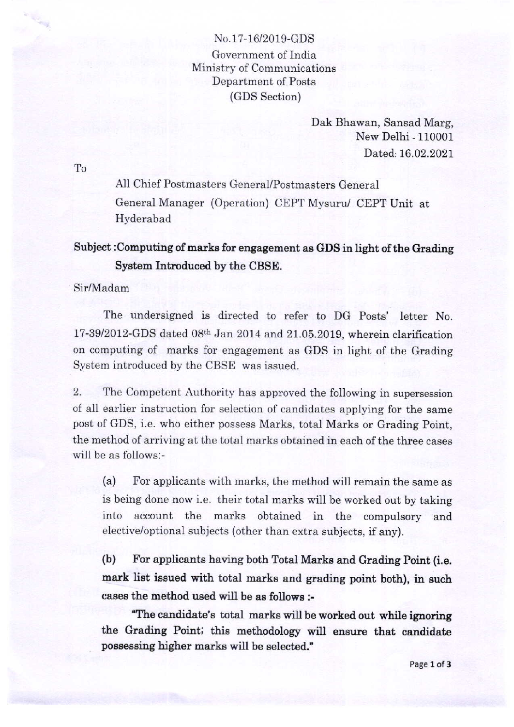No.17-16/2019-GDS Government of India Ministry of Communications Department of Posts (GDS Section)

> Dak Bhawan, Sansad Marg, New Delhi - 110001 Dated: 16.02.2021

To

**Text** 

All Chief Postmasters GeneraUPostmasters General General Manager (Operation) CEPT Mysuru/ CEPT Unit at Hyderabad

## Subject :Computing of marks for engagement as GDS in light of the Grading System Introduced by the CBSE.

Sir/Madam

The undersigned is directed to refer to DG Posts' letter No. 17-39/2012-GDS dated  $08<sup>th</sup>$  Jan 2014 and 21.05.2019, wherein clarification on computing of marks for engagement as GDS in light of the Grading System introduced by the CBSE was issued.

2. The Competent Authority has approved the following in supersession of all earlier instruction for selection of candidates applying for the same post of GDS, i.e. who either possess Marks, total Marks or Grading Point, the method of arriving at the total marks obtained in each of the three cases will be as follows:-

(a) For applicants with marks, the method will remain the same as is being done now i.e. their total marks will be worked out by taking into account the marks obtained in the compulsory and elective/optional subjects (other than extra subjects, if any).

(b) For applicants having both Total Marke and Grading Point (i.e. mark list issued with total marks and grading point both), in such cases the method used will be as follows i

"The candidate's total marks will be worked out while ignoring the Grading Point; this methodology will ensure that candidate possessing higher marks will be selected."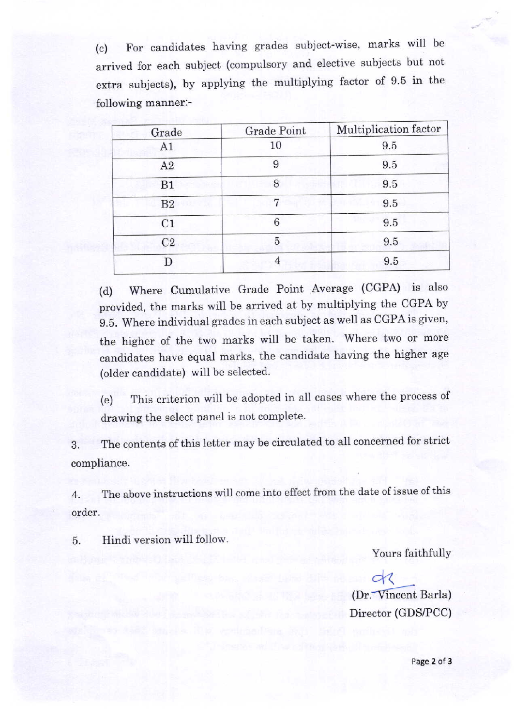(") For candidates having grades subject-wise, marks will be arrived for each subject (compulsory and elective subjects but not extra subjects), by applying the multiplying factor of 9.5 in the following manner:-

| Grade          | Grade Point     | Multiplication factor |
|----------------|-----------------|-----------------------|
| A1             | 10              | 9.5                   |
| A2             | 9               | 9.5                   |
| B1             | 8               | 9.5                   |
| B <sub>2</sub> | 7               | 9.5                   |
| C <sub>1</sub> | $6\phantom{1}6$ | 9.5                   |
| C <sub>2</sub> | 5               | 9.5                   |
|                | 4               | 9.5                   |

(d) Where Cumulative Grade Point Average (CGPA) is also provided, the marks will be arrived at by multiplying the CGPA by 9.5. Where individual grades in each subject as well as CGPA is given, the higher of the two marks will be taken. Where two or more candidates have equal marks, the candidate having the higher age (older candidate) will be selected.

(e) This criterion will be adopted in all cases where the process of drawing the select panel is not complete.

3. The contents of this letter may be circulated to all concerned for strict compliance.

4. The above instructions will come into effect from the date of issue of this order.

5. Hindi version will follow

Yours faithfully

 $\alpha$ (Dr. Vincent Barla) Director (GDS/PCC)

Page 2 of 3